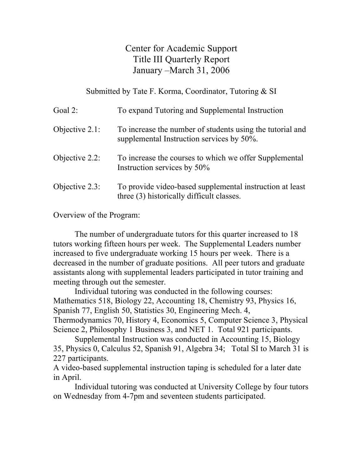Center for Academic Support Title III Quarterly Report January –March 31, 2006

Submitted by Tate F. Korma, Coordinator, Tutoring & SI

| Goal 2:           | To expand Tutoring and Supplemental Instruction                                                        |
|-------------------|--------------------------------------------------------------------------------------------------------|
| Objective $2.1$ : | To increase the number of students using the tutorial and<br>supplemental Instruction services by 50%. |
| Objective $2.2$ : | To increase the courses to which we offer Supplemental<br>Instruction services by 50%                  |
| Objective $2.3$ : | To provide video-based supplemental instruction at least<br>three (3) historically difficult classes.  |

Overview of the Program:

The number of undergraduate tutors for this quarter increased to 18 tutors working fifteen hours per week. The Supplemental Leaders number increased to five undergraduate working 15 hours per week. There is a decreased in the number of graduate positions. All peer tutors and graduate assistants along with supplemental leaders participated in tutor training and meeting through out the semester.

Individual tutoring was conducted in the following courses: Mathematics 518, Biology 22, Accounting 18, Chemistry 93, Physics 16, Spanish 77, English 50, Statistics 30, Engineering Mech. 4, Thermodynamics 70, History 4, Economics 5, Computer Science 3, Physical Science 2, Philosophy 1 Business 3, and NET 1. Total 921 participants.

Supplemental Instruction was conducted in Accounting 15, Biology 35, Physics 0, Calculus 52, Spanish 91, Algebra 34; Total SI to March 31 is 227 participants.

A video-based supplemental instruction taping is scheduled for a later date in April.

Individual tutoring was conducted at University College by four tutors on Wednesday from 4-7pm and seventeen students participated.